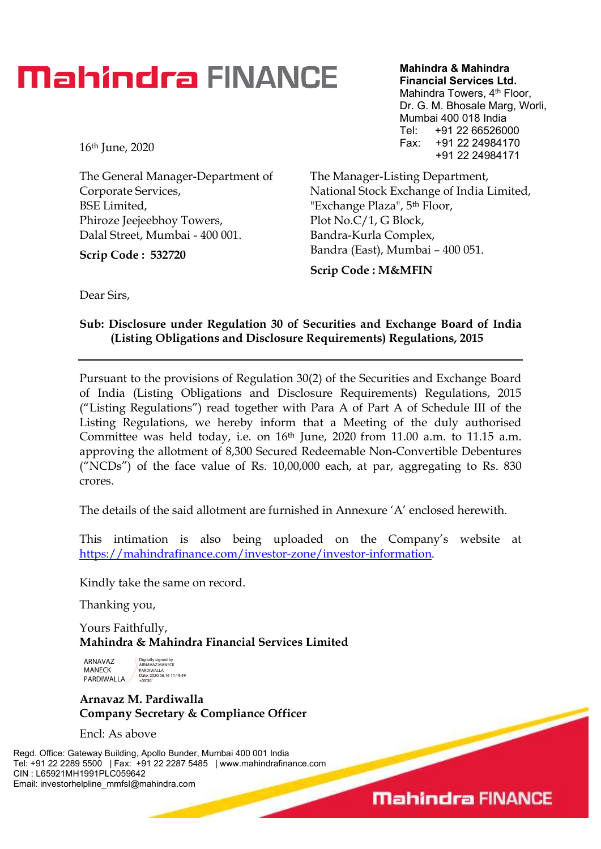### **Mahindra FINANCE**

16th June, 2020

The General Manager-Department of Corporate Services, BSE Limited, Phiroze Jeejeebhoy Towers, Dalal Street, Mumbai - 400 001.

Scrip Code : 532720

Mahindra & Mahindra Financial Services Ltd. Mahindra Towers, 4<sup>th</sup> Floor, Dr. G. M. Bhosale Marg, Worli, Mumbai 400 018 India Tel: +91 22 66526000 Fax: +91 22 24984170 +91 22 24984171

The Manager-Listing Department, National Stock Exchange of India Limited, "Exchange Plaza", 5th Floor, Plot No.C/1, G Block, Bandra-Kurla Complex, Bandra (East), Mumbai – 400 051.

Scrip Code : M&MFIN

Dear Sirs,

#### Sub: Disclosure under Regulation 30 of Securities and Exchange Board of India (Listing Obligations and Disclosure Requirements) Regulations, 2015

Pursuant to the provisions of Regulation 30(2) of the Securities and Exchange Board of India (Listing Obligations and Disclosure Requirements) Regulations, 2015 ("Listing Regulations") read together with Para A of Part A of Schedule III of the Listing Regulations, we hereby inform that a Meeting of the duly authorised Committee was held today, i.e. on  $16<sup>th</sup>$  June, 2020 from 11.00 a.m. to 11.15 a.m. approving the allotment of 8,300 Secured Redeemable Non-Convertible Debentures ("NCDs") of the face value of Rs.  $10,00,000$  each, at par, aggregating to Rs. 830 crores.

The details of the said allotment are furnished in Annexure 'A' enclosed herewith.

This intimation is also being uploaded on the Company's website at https://mahindrafinance.com/investor-zone/investor-information.

Kindly take the same on record.

Thanking you,

Yours Faithfully, Mahindra & Mahindra Financial Services Limited

ARNAVAZ MANECK PARDIWALLA Digitally signed by ARNAVAZ MANECK PARDIWALLA Date: 2020.06.16 11:19:49 +05'30'

Arnavaz M. Pardiwalla Company Secretary & Compliance Officer

Encl: As above

Regd. Office: Gateway Building, Apollo Bunder, Mumbai 400 001 India Tel: +91 22 2289 5500 | Fax: +91 22 2287 5485 | www.mahindrafinance.com CIN : L65921MH1991PLC059642 Email: investorhelpline\_mmfsl@mahindra.com

**Mahindra FINANCE**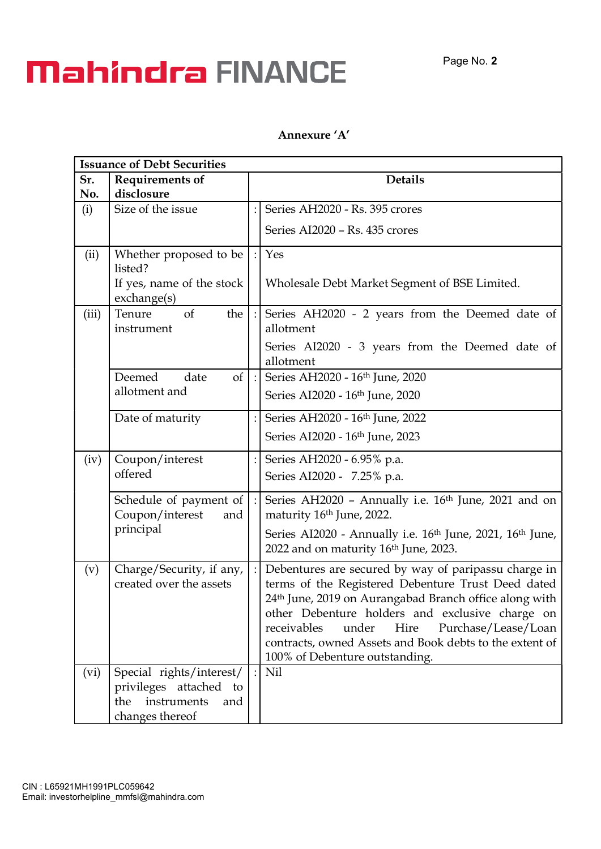## **Mahindra FINANCE**

#### Annexure 'A'

| <b>Issuance of Debt Securities</b> |                                                                                                       |  |                                                                                                                                                                                                                                                                                                                                                                                         |  |  |  |
|------------------------------------|-------------------------------------------------------------------------------------------------------|--|-----------------------------------------------------------------------------------------------------------------------------------------------------------------------------------------------------------------------------------------------------------------------------------------------------------------------------------------------------------------------------------------|--|--|--|
| Sr.                                | <b>Requirements of</b>                                                                                |  | <b>Details</b>                                                                                                                                                                                                                                                                                                                                                                          |  |  |  |
| No.                                | disclosure                                                                                            |  |                                                                                                                                                                                                                                                                                                                                                                                         |  |  |  |
| (i)                                | Size of the issue                                                                                     |  | Series AH2020 - Rs. 395 crores                                                                                                                                                                                                                                                                                                                                                          |  |  |  |
|                                    |                                                                                                       |  | Series AI2020 - Rs. 435 crores                                                                                                                                                                                                                                                                                                                                                          |  |  |  |
| (ii)                               | Whether proposed to be<br>listed?<br>If yes, name of the stock<br>exchange(s)                         |  | Yes<br>Wholesale Debt Market Segment of BSE Limited.                                                                                                                                                                                                                                                                                                                                    |  |  |  |
| (iii)                              | Tenure<br>$\sigma$<br>the<br>instrument                                                               |  | Series AH2020 - 2 years from the Deemed date of<br>allotment<br>Series AI2020 - 3 years from the Deemed date of<br>allotment                                                                                                                                                                                                                                                            |  |  |  |
|                                    | Deemed<br><sub>of</sub><br>date<br>allotment and                                                      |  | Series AH2020 - 16th June, 2020<br>Series AI2020 - 16th June, 2020                                                                                                                                                                                                                                                                                                                      |  |  |  |
|                                    | Date of maturity                                                                                      |  | Series AH2020 - 16th June, 2022<br>Series AI2020 - 16th June, 2023                                                                                                                                                                                                                                                                                                                      |  |  |  |
| (iv)                               | Coupon/interest<br>offered                                                                            |  | Series AH2020 - 6.95% p.a.<br>Series AI2020 - 7.25% p.a.                                                                                                                                                                                                                                                                                                                                |  |  |  |
|                                    | Schedule of payment of<br>Coupon/interest<br>and<br>principal                                         |  | Series AH2020 - Annually i.e. 16 <sup>th</sup> June, 2021 and on<br>maturity 16th June, 2022.<br>Series AI2020 - Annually i.e. 16 <sup>th</sup> June, 2021, 16 <sup>th</sup> June,<br>2022 and on maturity 16th June, 2023.                                                                                                                                                             |  |  |  |
| (v)                                | Charge/Security, if any,<br>created over the assets                                                   |  | Debentures are secured by way of paripassu charge in<br>terms of the Registered Debenture Trust Deed dated<br>24 <sup>th</sup> June, 2019 on Aurangabad Branch office along with<br>other Debenture holders and exclusive charge on<br>receivables<br>under<br>Purchase/Lease/Loan<br>Hire<br>contracts, owned Assets and Book debts to the extent of<br>100% of Debenture outstanding. |  |  |  |
| (vi)                               | Special rights/interest/<br>privileges attached<br>to<br>instruments<br>the<br>and<br>changes thereof |  | Nil                                                                                                                                                                                                                                                                                                                                                                                     |  |  |  |